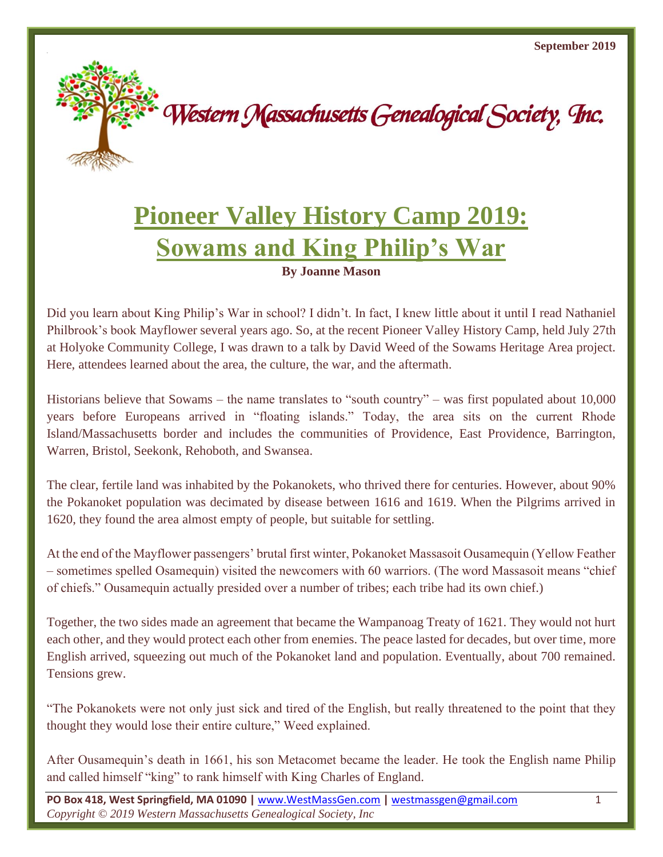

## **Pioneer Valley History Camp 2019: Sowams and King Philip's War**

**By Joanne Mason**

Did you learn about King Philip's War in school? I didn't. In fact, I knew little about it until I read Nathaniel Philbrook's book Mayflower several years ago. So, at the recent Pioneer Valley History Camp, held July 27th at Holyoke Community College, I was drawn to a talk by David Weed of the Sowams Heritage Area project. Here, attendees learned about the area, the culture, the war, and the aftermath.

Historians believe that Sowams – the name translates to "south country" – was first populated about 10,000 years before Europeans arrived in "floating islands." Today, the area sits on the current Rhode Island/Massachusetts border and includes the communities of Providence, East Providence, Barrington, Warren, Bristol, Seekonk, Rehoboth, and Swansea.

The clear, fertile land was inhabited by the Pokanokets, who thrived there for centuries. However, about 90% the Pokanoket population was decimated by disease between 1616 and 1619. When the Pilgrims arrived in 1620, they found the area almost empty of people, but suitable for settling.

At the end of the Mayflower passengers' brutal first winter, Pokanoket Massasoit Ousamequin (Yellow Feather – sometimes spelled Osamequin) visited the newcomers with 60 warriors. (The word Massasoit means "chief of chiefs." Ousamequin actually presided over a number of tribes; each tribe had its own chief.)

Together, the two sides made an agreement that became the Wampanoag Treaty of 1621. They would not hurt each other, and they would protect each other from enemies. The peace lasted for decades, but over time, more English arrived, squeezing out much of the Pokanoket land and population. Eventually, about 700 remained. Tensions grew.

"The Pokanokets were not only just sick and tired of the English, but really threatened to the point that they thought they would lose their entire culture," Weed explained.

After Ousamequin's death in 1661, his son Metacomet became the leader. He took the English name Philip and called himself "king" to rank himself with King Charles of England.